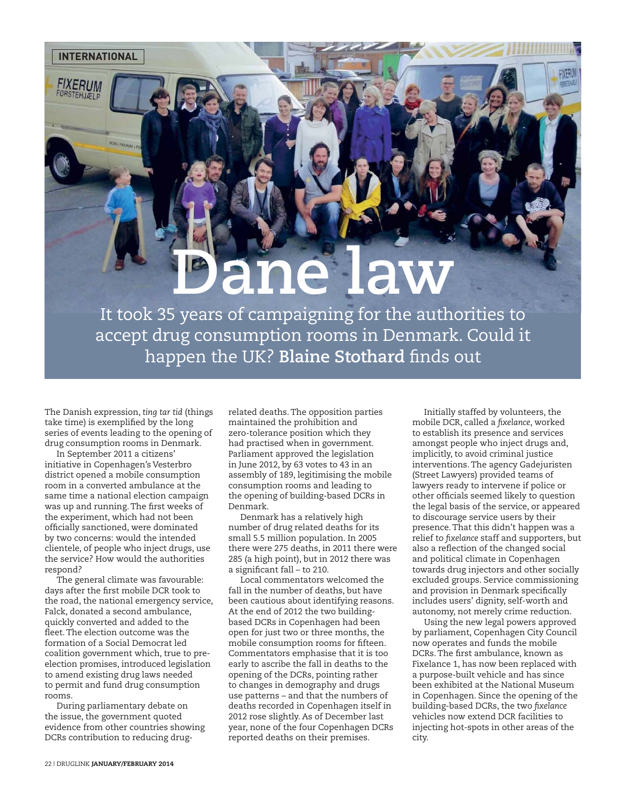FIXERUM

## **Dane law**

It took 35 years of campaigning for the authorities to accept drug consumption rooms in Denmark. Could it happen the UK? **Blaine Stothard** finds out

The Danish expression, *ting tar tid* (things take time) is exemplified by the long series of events leading to the opening of drug consumption rooms in Denmark.

In September 2011 a citizens' initiative in Copenhagen's Vesterbro district opened a mobile consumption room in a converted ambulance at the same time a national election campaign was up and running. The first weeks of the experiment, which had not been officially sanctioned, were dominated by two concerns: would the intended clientele, of people who inject drugs, use the service? How would the authorities respond?

The general climate was favourable: days after the first mobile DCR took to the road, the national emergency service, Falck, donated a second ambulance, quickly converted and added to the fleet. The election outcome was the formation of a Social Democrat led coalition government which, true to preelection promises, introduced legislation to amend existing drug laws needed to permit and fund drug consumption rooms.

During parliamentary debate on the issue, the government quoted evidence from other countries showing DCRs contribution to reducing drug-

related deaths. The opposition parties maintained the prohibition and zero-tolerance position which they had practised when in government. Parliament approved the legislation in June 2012, by 63 votes to 43 in an assembly of 189, legitimising the mobile consumption rooms and leading to the opening of building-based DCRs in Denmark.

Denmark has a relatively high number of drug related deaths for its small 5.5 million population. In 2005 there were 275 deaths, in 2011 there were 285 (a high point), but in 2012 there was a significant fall – to 210.

Local commentators welcomed the fall in the number of deaths, but have been cautious about identifying reasons. At the end of 2012 the two buildingbased DCRs in Copenhagen had been open for just two or three months, the mobile consumption rooms for fifteen. Commentators emphasise that it is too early to ascribe the fall in deaths to the opening of the DCRs, pointing rather to changes in demography and drugs use patterns – and that the numbers of deaths recorded in Copenhagen itself in 2012 rose slightly. As of December last year, none of the four Copenhagen DCRs reported deaths on their premises.

Initially staffed by volunteers, the mobile DCR, called a *fixelance*, worked to establish its presence and services amongst people who inject drugs and, implicitly, to avoid criminal justice interventions. The agency Gadejuristen (Street Lawyers) provided teams of lawyers ready to intervene if police or other officials seemed likely to question the legal basis of the service, or appeared to discourage service users by their presence. That this didn't happen was a relief to *fixelance* staff and supporters, but also a reflection of the changed social and political climate in Copenhagen towards drug injectors and other socially excluded groups. Service commissioning and provision in Denmark specifically includes users' dignity, self-worth and autonomy, not merely crime reduction.

Using the new legal powers approved by parliament, Copenhagen City Council now operates and funds the mobile DCRs. The first ambulance, known as Fixelance 1, has now been replaced with a purpose-built vehicle and has since been exhibited at the National Museum in Copenhagen. Since the opening of the building-based DCRs, the two *fixelance* vehicles now extend DCR facilities to injecting hot-spots in other areas of the city.